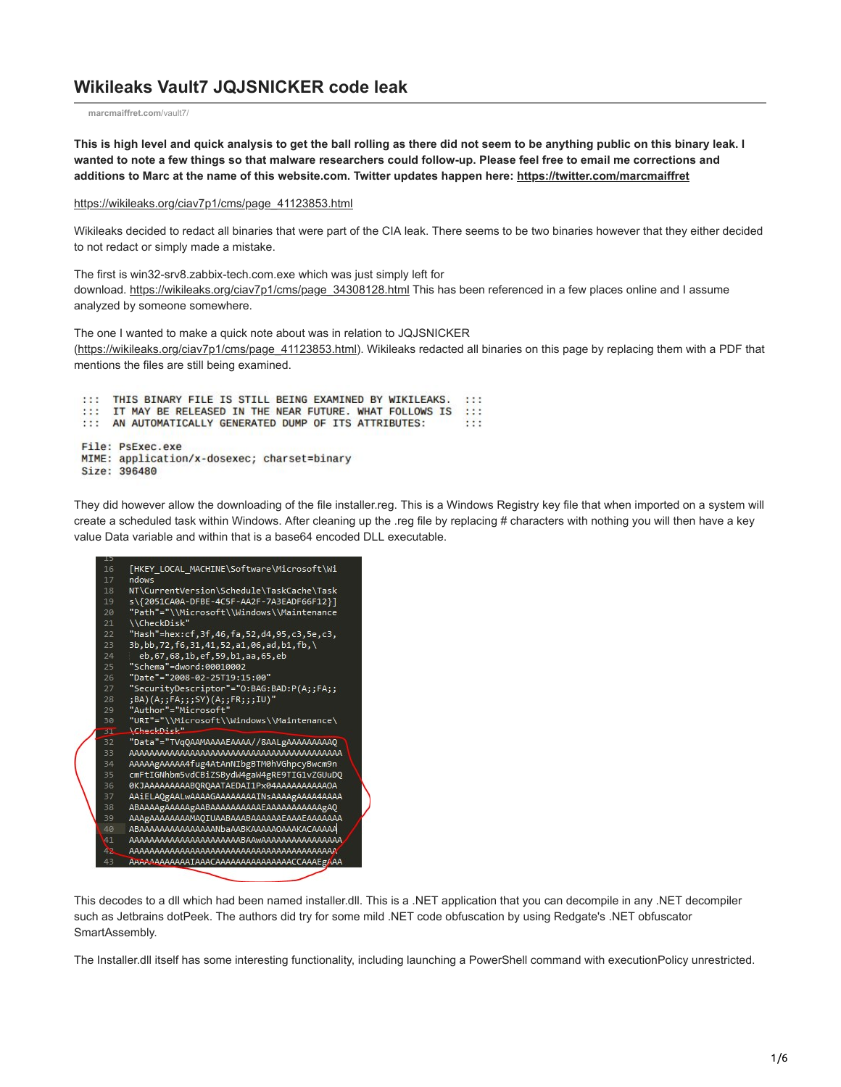## **Wikileaks Vault7 JQJSNICKER code leak**

**[marcmaiffret.com](http://marcmaiffret.com/vault7/)**/vault7/

**This is high level and quick analysis to get the ball rolling as there did not seem to be anything public on this binary leak. I wanted to note a few things so that malware researchers could follow-up. Please feel free to email me corrections and additions to Marc at the name of this website.com. Twitter updates happen here: <https://twitter.com/marcmaiffret>**

[https://wikileaks.org/ciav7p1/cms/page\\_41123853.html](https://wikileaks.org/ciav7p1/cms/page_41123853.html)

Wikileaks decided to redact all binaries that were part of the CIA leak. There seems to be two binaries however that they either decided to not redact or simply made a mistake.

The first is win32-srv8.zabbix-tech.com.exe which was just simply left for download. [https://wikileaks.org/ciav7p1/cms/page\\_34308128.html](https://wikileaks.org/ciav7p1/cms/page_34308128.html) This has been referenced in a few places online and I assume analyzed by someone somewhere.

The one I wanted to make a quick note about was in relation to JQJSNICKER ([https://wikileaks.org/ciav7p1/cms/page\\_41123853.html\)](https://wikileaks.org/ciav7p1/cms/page_41123853.html). Wikileaks redacted all binaries on this page by replacing them with a PDF that mentions the files are still being examined.

::: THIS BINARY FILE IS STILL BEING EXAMINED BY WIKILEAKS. :::<br>::: IT MAY BE RELEASED IN THE NEAR FUTURE. WHAT FOLLOWS IS ::: ::: AN AUTOMATICALLY GENERATED DUMP OF ITS ATTRIBUTES:  $: : :$ File: PsExec.exe MIME: application/x-dosexec; charset=binary Size: 396480

They did however allow the downloading of the file installer.reg. This is a Windows Registry key file that when imported on a system will create a scheduled task within Windows. After cleaning up the .reg file by replacing # characters with nothing you will then have a key value Data variable and within that is a base64 encoded DLL executable.

| ᅩ  |                                               |
|----|-----------------------------------------------|
| 16 | [HKEY LOCAL MACHINE\Software\Microsoft\Wi     |
| 17 | ndows                                         |
| 18 | NT\CurrentVersion\Schedule\TaskCache\Task     |
| 19 | s\{2051CA0A-DFBE-4C5F-AA2F-7A3EADF66F12}]     |
| 20 | "Path"="\\Microsoft\\Windows\\Maintenance     |
| 21 | \\CheckDisk"                                  |
| 22 | ,5e,c3) Hash"=hex:cf,3f,46,fa,52,d4,95,c3,c3, |
| 23 | 3b,bb,72,f6,31,41,52,a1,06,ad,b1,fb,\         |
| 24 | eb, 67, 68, 1b, ef, 59, b1, aa, 65, eb        |
| 25 | "Schema"=dword:00010002                       |
| 26 | "Date"="2008-02-25T19:15:00"                  |
| 27 | "SecurityDescriptor"="0:BAG:BAD:P(A;;FA;;     |
| 28 | ;BA)(A;;FA;;;SY)(A;;FR;;;IU)"                 |
| 29 | "Author"="Microsoft"                          |
| 30 | "URI"="\\Microsoft\\Windows\\Maintenance\     |
| 31 | \ChackDick"                                   |
| 32 | "Data"="TVqQAAMAAAAEAAAA//8AALgAAAAAAAAAQ     |
| 33 |                                               |
| 34 | AAAAAgAAAAA4fug4AtAnNIbgBTM0hVGhpcyBwcm9n     |
| 35 | cmFtIGNhbm5vdCBiZSBydW4gaW4gRE9TIG1vZGUuDQ    |
| 36 | 0KJAAAAAAAAABOROAATAEDAI1Px04AAAAAAAAAAAOA    |
| 37 | AAiELAQgAALwAAAAGAAAAAAAAINsAAAAgAAAA4AAAA    |
| 38 |                                               |
| 39 | AAAgAAAAAAAAAMAQIUAABAAABAAAAAAEAAAEAAAAAAAA  |
| 40 | ABAAAAAAAAAAAAAAANbaAABKAAAAAAOAAAKACAAAAA    |
| 41 |                                               |
| 49 |                                               |
| 43 | AAAAAAAAAAAAAAAAAAAAAAAAAAAAAAACCAAAEg/AA     |
|    |                                               |

This decodes to a dll which had been named installer.dll. This is a .NET application that you can decompile in any .NET decompiler such as Jetbrains dotPeek. The authors did try for some mild .NET code obfuscation by using Redgate's .NET obfuscator SmartAssembly.

The Installer.dll itself has some interesting functionality, including launching a PowerShell command with executionPolicy unrestricted.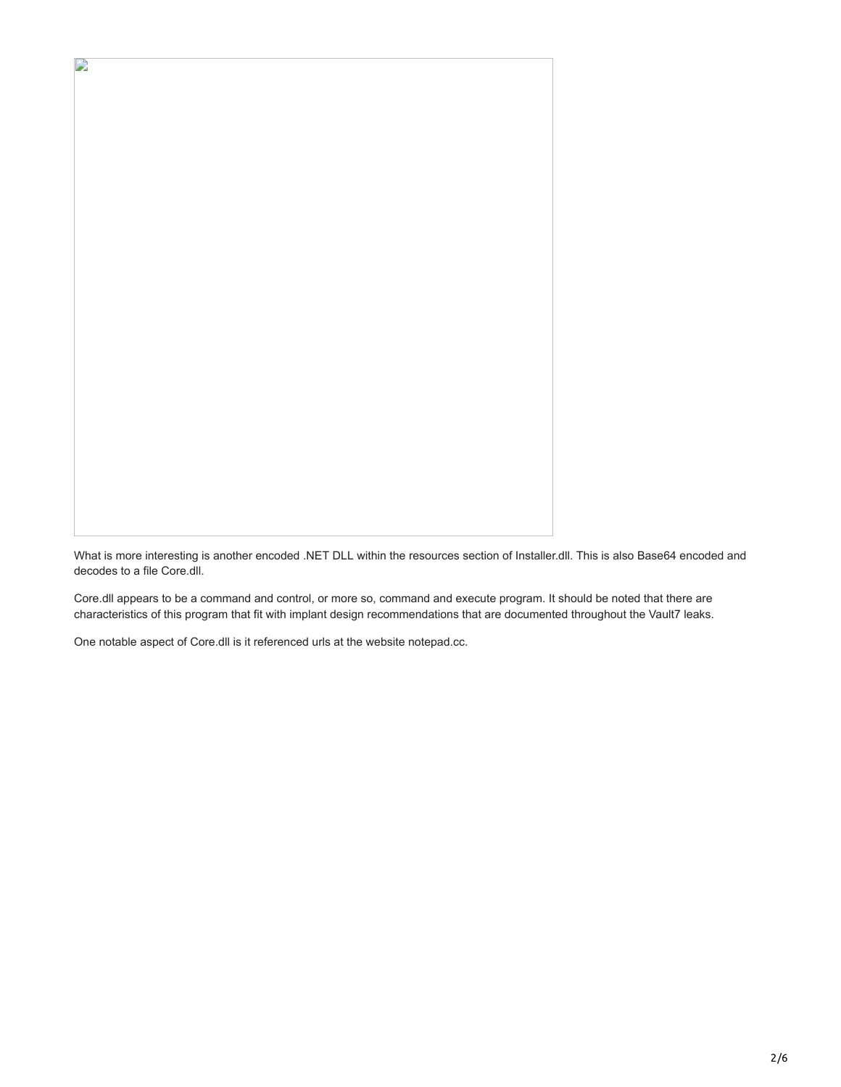D

What is more interesting is another encoded .NET DLL within the resources section of Installer.dll. This is also Base64 encoded and decodes to a file Core.dll.

Core.dll appears to be a command and control, or more so, command and execute program. It should be noted that there are characteristics of this program that fit with implant design recommendations that are documented throughout the Vault7 leaks.

One notable aspect of Core.dll is it referenced urls at the website notepad.cc.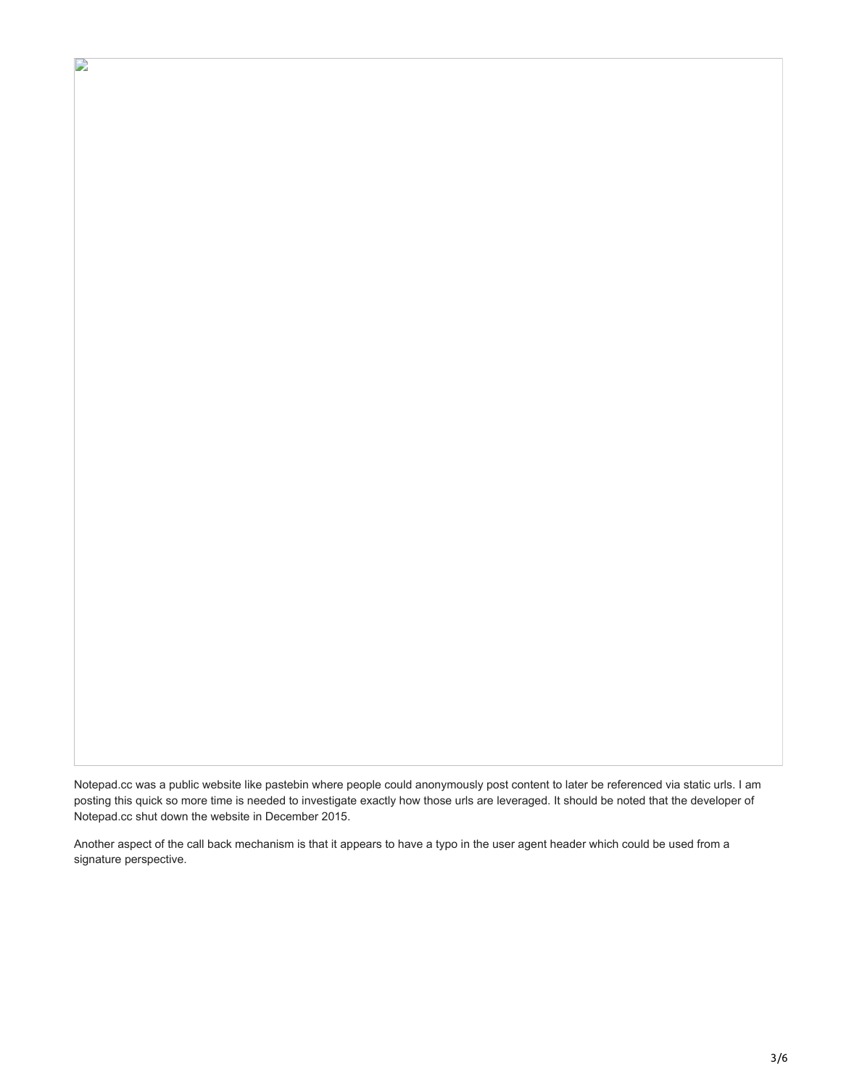Notepad.cc was a public website like pastebin where people could anonymously post content to later be referenced via static urls. I am posting this quick so more time is needed to investigate exactly how those urls are leveraged. It should be noted that the developer of Notepad.cc shut down the website in December 2015.

Another aspect of the call back mechanism is that it appears to have a typo in the user agent header which could be used from a signature perspective.

D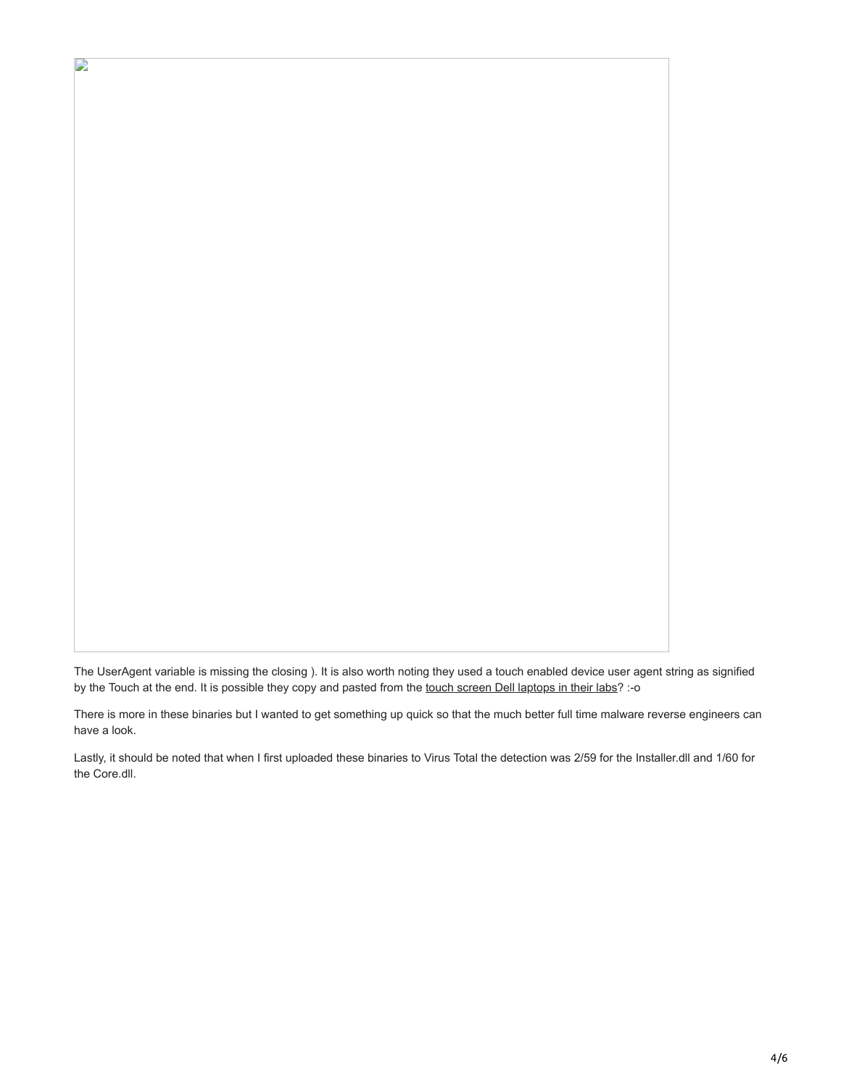The UserAgent variable is missing the closing ). It is also worth noting they used a touch enabled device user agent string as signified by the Touch at the end. It is possible they copy and pasted from the [touch screen Dell laptops in their labs?](https://wikileaks.org/ciav7p1/cms/page_14587529.html) :- o

D

There is more in these binaries but I wanted to get something up quick so that the much better full time malware reverse engineers can have a look.

Lastly, it should be noted that when I first uploaded these binaries to Virus Total the detection was 2/59 for the Installer.dll and 1/60 for the Core.dll.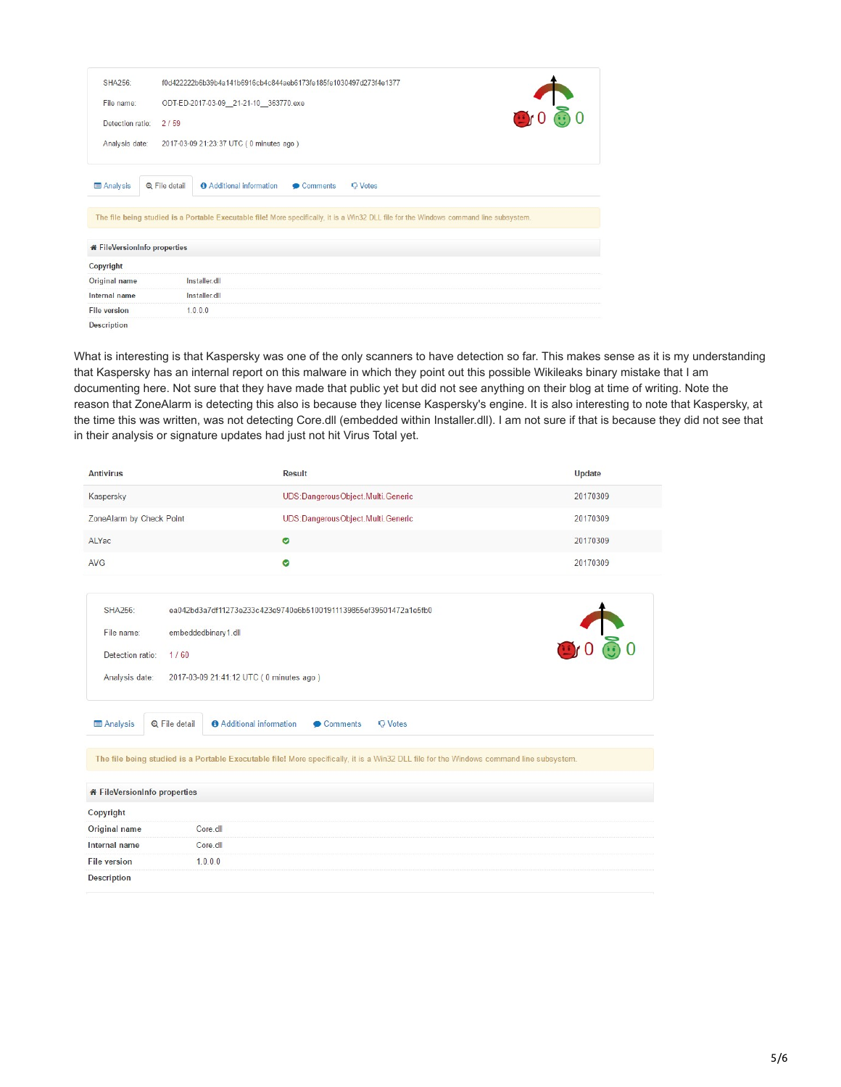| SHA256                              | f0d422222b6b39b4a141b6916cb4c844aeb6173fe185fe1030497d273f4e1377                                                                        |  |  |  |  |
|-------------------------------------|-----------------------------------------------------------------------------------------------------------------------------------------|--|--|--|--|
| File name:                          | $\sum_{i=1}^{n}$<br>ODT-ED-2017-03-09 21-21-10 363770.exe                                                                               |  |  |  |  |
| Detection ratio:                    | 2/59                                                                                                                                    |  |  |  |  |
| Analysis date:                      | 2017-03-09 21:23:37 UTC (0 minutes ago)                                                                                                 |  |  |  |  |
| <b>E</b> Analysis                   | Q File detail<br><b>O</b> Additional information<br><b>Q</b> Votes<br>Comments                                                          |  |  |  |  |
|                                     | The file being studied is a Portable Executable file! More specifically, it is a Win32 DLL file for the Windows command line subsystem. |  |  |  |  |
| <b>*</b> FileVersionInfo properties |                                                                                                                                         |  |  |  |  |
| Copyright                           |                                                                                                                                         |  |  |  |  |
| Original name                       | Installer dll                                                                                                                           |  |  |  |  |
| Internal name                       | Installer.dll                                                                                                                           |  |  |  |  |
| <b>File version</b>                 | 1.0.0.0                                                                                                                                 |  |  |  |  |
| <b>Description</b>                  |                                                                                                                                         |  |  |  |  |

What is interesting is that Kaspersky was one of the only scanners to have detection so far. This makes sense as it is my understanding that Kaspersky has an internal report on this malware in which they point out this possible Wikileaks binary mistake that I am documenting here. Not sure that they have made that public yet but did not see anything on their blog at time of writing. Note the reason that ZoneAlarm is detecting this also is because they license Kaspersky's engine. It is also interesting to note that Kaspersky, at the time this was written, was not detecting Core.dll (embedded within Installer.dll). I am not sure if that is because they did not see that in their analysis or signature updates had just not hit Virus Total yet.

| <b>Antivirus</b>                                                            |                                         | <b>Result</b>                                                                                                                           | Update   |  |  |
|-----------------------------------------------------------------------------|-----------------------------------------|-----------------------------------------------------------------------------------------------------------------------------------------|----------|--|--|
| Kaspersky                                                                   |                                         | UDS: Dangerous Object. Multi. Generic                                                                                                   | 20170309 |  |  |
| ZoneAlarm by Check Point                                                    |                                         | UDS: Dangerous Object. Multi. Generic                                                                                                   | 20170309 |  |  |
| ALYac                                                                       |                                         | $\bullet$                                                                                                                               | 20170309 |  |  |
| <b>AVG</b>                                                                  |                                         | $\bullet$                                                                                                                               | 20170309 |  |  |
| SHA256:<br>ea042bd3a7df11273e233c423e9740e6b51001911139855ef39501472a1e5fb0 |                                         |                                                                                                                                         |          |  |  |
| File name:                                                                  | embeddedbinary 1.dll                    |                                                                                                                                         | 0000     |  |  |
| Detection ratio:                                                            | 1/60                                    |                                                                                                                                         |          |  |  |
| Analysis date:                                                              | 2017-03-09 21:41:12 UTC (0 minutes ago) |                                                                                                                                         |          |  |  |
| Analysis                                                                    | Q File detail                           | <b>O</b> Additional information<br>Comments<br><b>Q</b> Votes                                                                           |          |  |  |
|                                                                             |                                         | The file being studied is a Portable Executable file! More specifically, it is a Win32 DLL file for the Windows command line subsystem. |          |  |  |
|                                                                             |                                         |                                                                                                                                         |          |  |  |
| <b>*</b> FileVersionInfo properties                                         |                                         |                                                                                                                                         |          |  |  |
| Copyright                                                                   |                                         |                                                                                                                                         |          |  |  |
| Original name                                                               | Core.dll                                |                                                                                                                                         |          |  |  |
| Internal name                                                               | Core.dll                                |                                                                                                                                         |          |  |  |
| <b>File version</b>                                                         | 1.0.0.0                                 |                                                                                                                                         |          |  |  |